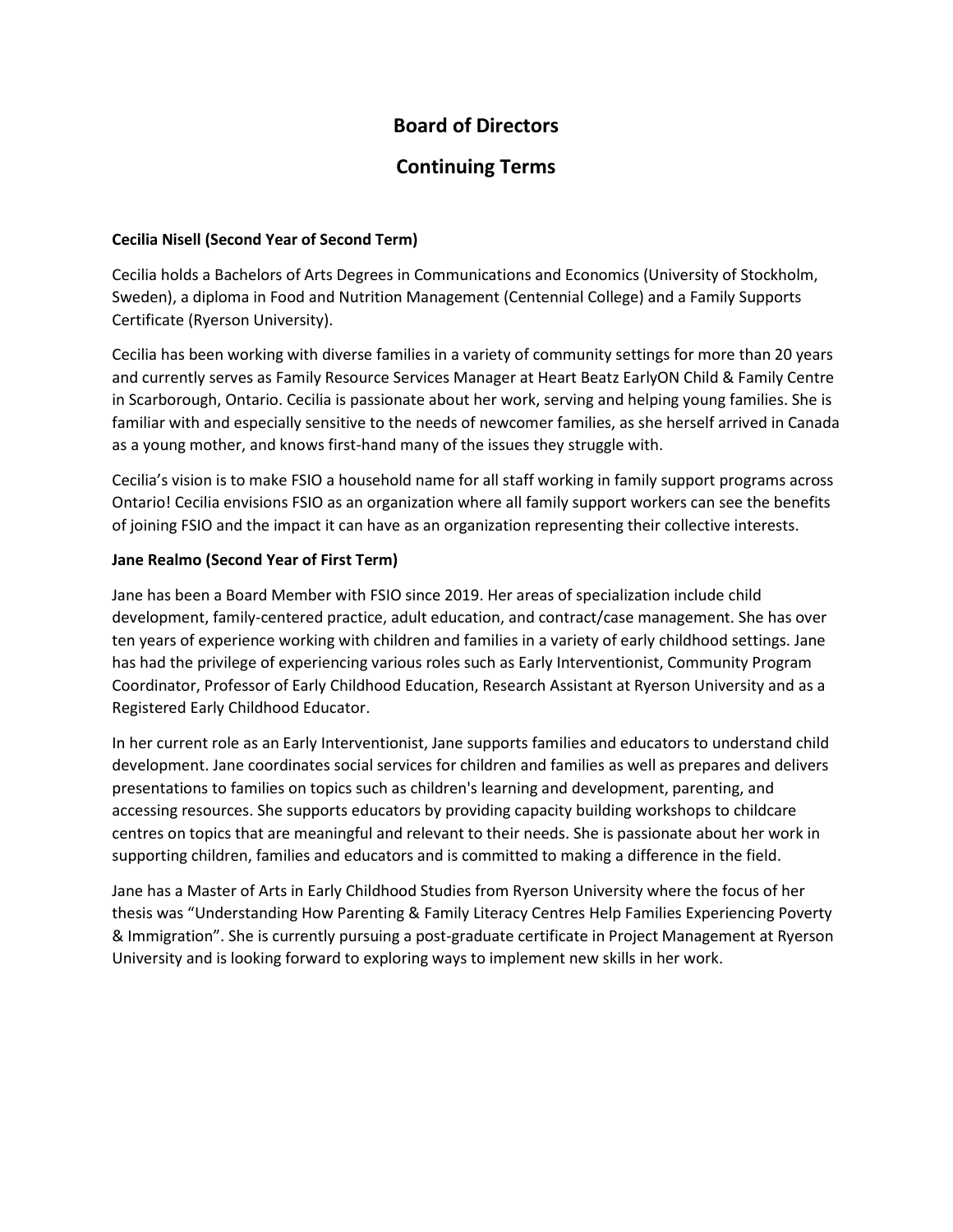# **Board of Directors**

# **Continuing Terms**

## **Cecilia Nisell (Second Year of Second Term)**

Cecilia holds a Bachelors of Arts Degrees in Communications and Economics (University of Stockholm, Sweden), a diploma in Food and Nutrition Management (Centennial College) and a Family Supports Certificate (Ryerson University).

Cecilia has been working with diverse families in a variety of community settings for more than 20 years and currently serves as Family Resource Services Manager at Heart Beatz EarlyON Child & Family Centre in Scarborough, Ontario. Cecilia is passionate about her work, serving and helping young families. She is familiar with and especially sensitive to the needs of newcomer families, as she herself arrived in Canada as a young mother, and knows first-hand many of the issues they struggle with.

Cecilia's vision is to make FSIO a household name for all staff working in family support programs across Ontario! Cecilia envisions FSIO as an organization where all family support workers can see the benefits of joining FSIO and the impact it can have as an organization representing their collective interests.

## **Jane Realmo (Second Year of First Term)**

Jane has been a Board Member with FSIO since 2019. Her areas of specialization include child development, family-centered practice, adult education, and contract/case management. She has over ten years of experience working with children and families in a variety of early childhood settings. Jane has had the privilege of experiencing various roles such as Early Interventionist, Community Program Coordinator, Professor of Early Childhood Education, Research Assistant at Ryerson University and as a Registered Early Childhood Educator.

In her current role as an Early Interventionist, Jane supports families and educators to understand child development. Jane coordinates social services for children and families as well as prepares and delivers presentations to families on topics such as children's learning and development, parenting, and accessing resources. She supports educators by providing capacity building workshops to childcare centres on topics that are meaningful and relevant to their needs. She is passionate about her work in supporting children, families and educators and is committed to making a difference in the field.

Jane has a Master of Arts in Early Childhood Studies from Ryerson University where the focus of her thesis was "Understanding How Parenting & Family Literacy Centres Help Families Experiencing Poverty & Immigration". She is currently pursuing a post-graduate certificate in Project Management at Ryerson University and is looking forward to exploring ways to implement new skills in her work.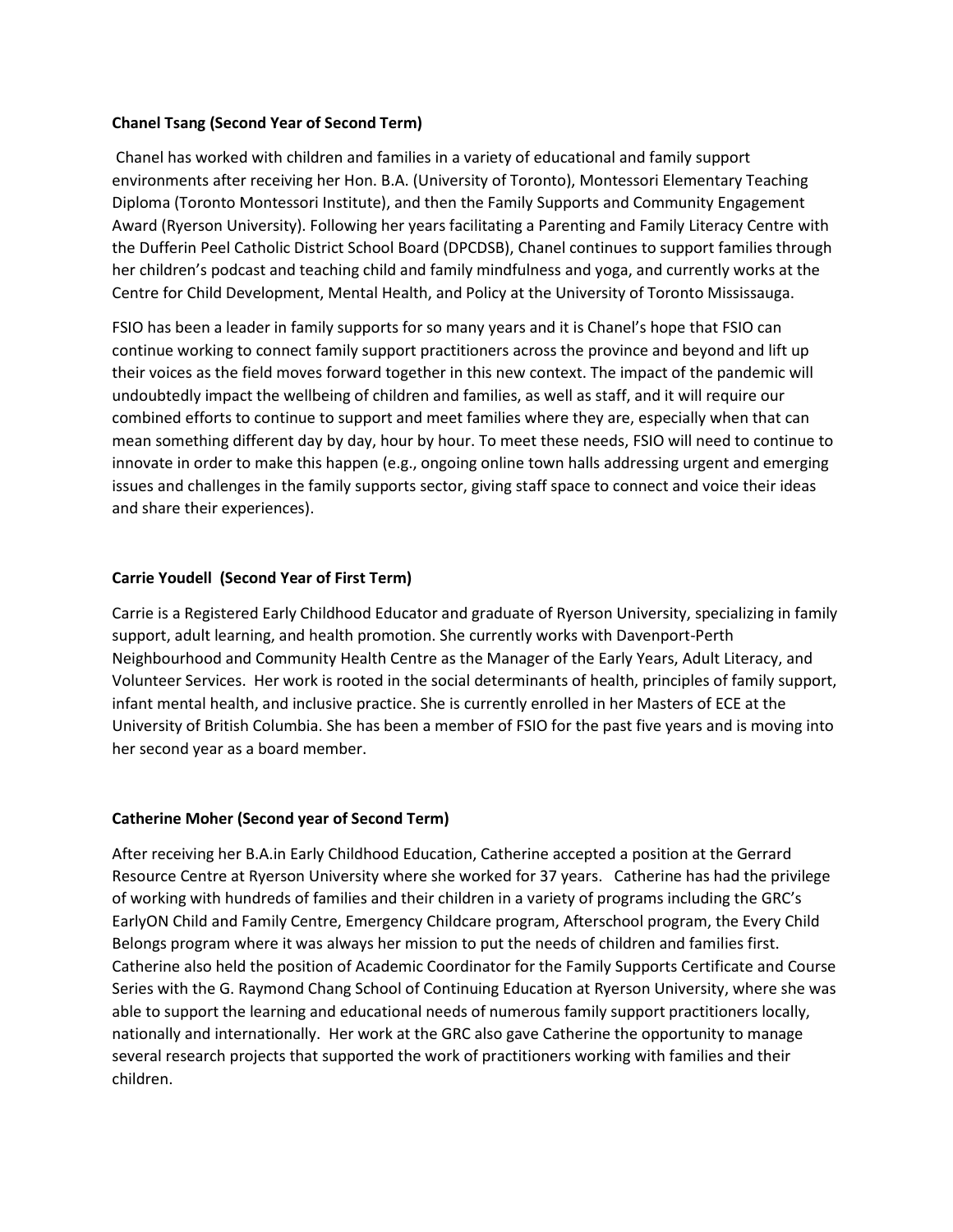### **Chanel Tsang (Second Year of Second Term)**

Chanel has worked with children and families in a variety of educational and family support environments after receiving her Hon. B.A. (University of Toronto), Montessori Elementary Teaching Diploma (Toronto Montessori Institute), and then the Family Supports and Community Engagement Award (Ryerson University). Following her years facilitating a Parenting and Family Literacy Centre with the Dufferin Peel Catholic District School Board (DPCDSB), Chanel continues to support families through her children's podcast and teaching child and family mindfulness and yoga, and currently works at the Centre for Child Development, Mental Health, and Policy at the University of Toronto Mississauga.

FSIO has been a leader in family supports for so many years and it is Chanel's hope that FSIO can continue working to connect family support practitioners across the province and beyond and lift up their voices as the field moves forward together in this new context. The impact of the pandemic will undoubtedly impact the wellbeing of children and families, as well as staff, and it will require our combined efforts to continue to support and meet families where they are, especially when that can mean something different day by day, hour by hour. To meet these needs, FSIO will need to continue to innovate in order to make this happen (e.g., ongoing online town halls addressing urgent and emerging issues and challenges in the family supports sector, giving staff space to connect and voice their ideas and share their experiences).

## **Carrie Youdell (Second Year of First Term)**

Carrie is a Registered Early Childhood Educator and graduate of Ryerson University, specializing in family support, adult learning, and health promotion. She currently works with Davenport-Perth Neighbourhood and Community Health Centre as the Manager of the Early Years, Adult Literacy, and Volunteer Services. Her work is rooted in the social determinants of health, principles of family support, infant mental health, and inclusive practice. She is currently enrolled in her Masters of ECE at the University of British Columbia. She has been a member of FSIO for the past five years and is moving into her second year as a board member.

### **Catherine Moher (Second year of Second Term)**

After receiving her B.A.in Early Childhood Education, Catherine accepted a position at the Gerrard Resource Centre at Ryerson University where she worked for 37 years. Catherine has had the privilege of working with hundreds of families and their children in a variety of programs including the GRC's EarlyON Child and Family Centre, Emergency Childcare program, Afterschool program, the Every Child Belongs program where it was always her mission to put the needs of children and families first. Catherine also held the position of Academic Coordinator for the Family Supports Certificate and Course Series with the G. Raymond Chang School of Continuing Education at Ryerson University, where she was able to support the learning and educational needs of numerous family support practitioners locally, nationally and internationally. Her work at the GRC also gave Catherine the opportunity to manage several research projects that supported the work of practitioners working with families and their children.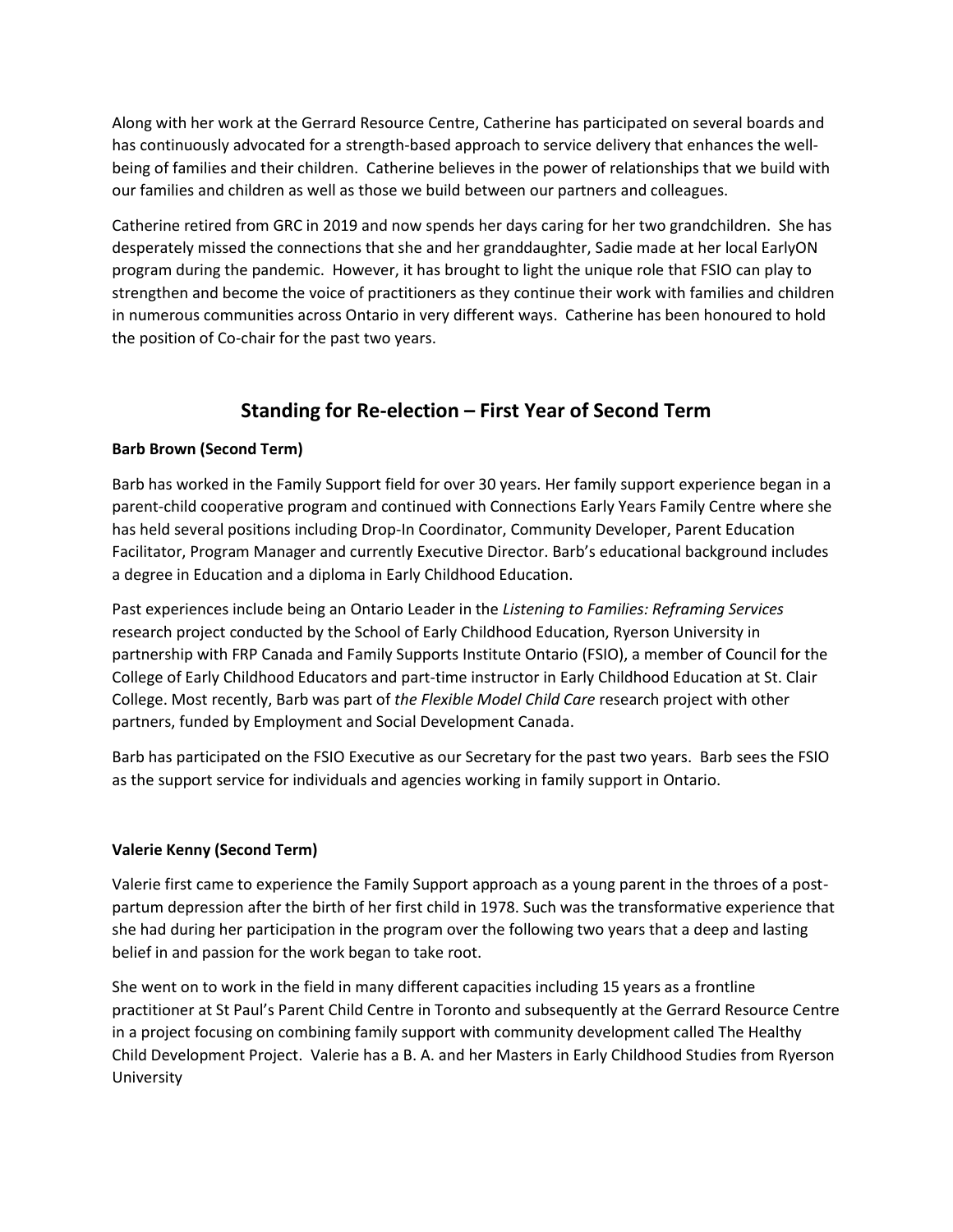Along with her work at the Gerrard Resource Centre, Catherine has participated on several boards and has continuously advocated for a strength-based approach to service delivery that enhances the wellbeing of families and their children. Catherine believes in the power of relationships that we build with our families and children as well as those we build between our partners and colleagues.

Catherine retired from GRC in 2019 and now spends her days caring for her two grandchildren. She has desperately missed the connections that she and her granddaughter, Sadie made at her local EarlyON program during the pandemic. However, it has brought to light the unique role that FSIO can play to strengthen and become the voice of practitioners as they continue their work with families and children in numerous communities across Ontario in very different ways. Catherine has been honoured to hold the position of Co-chair for the past two years.

# **Standing for Re-election – First Year of Second Term**

## **Barb Brown (Second Term)**

Barb has worked in the Family Support field for over 30 years. Her family support experience began in a parent-child cooperative program and continued with Connections Early Years Family Centre where she has held several positions including Drop-In Coordinator, Community Developer, Parent Education Facilitator, Program Manager and currently Executive Director. Barb's educational background includes a degree in Education and a diploma in Early Childhood Education.

Past experiences include being an Ontario Leader in the *Listening to Families: Reframing Services* research project conducted by the School of Early Childhood Education, Ryerson University in partnership with FRP Canada and Family Supports Institute Ontario (FSIO), a member of Council for the College of Early Childhood Educators and part-time instructor in Early Childhood Education at St. Clair College. Most recently, Barb was part of *the Flexible Model Child Care* research project with other partners, funded by Employment and Social Development Canada.

Barb has participated on the FSIO Executive as our Secretary for the past two years. Barb sees the FSIO as the support service for individuals and agencies working in family support in Ontario.

### **Valerie Kenny (Second Term)**

Valerie first came to experience the Family Support approach as a young parent in the throes of a postpartum depression after the birth of her first child in 1978. Such was the transformative experience that she had during her participation in the program over the following two years that a deep and lasting belief in and passion for the work began to take root.

She went on to work in the field in many different capacities including 15 years as a frontline practitioner at St Paul's Parent Child Centre in Toronto and subsequently at the Gerrard Resource Centre in a project focusing on combining family support with community development called The Healthy Child Development Project. Valerie has a B. A. and her Masters in Early Childhood Studies from Ryerson University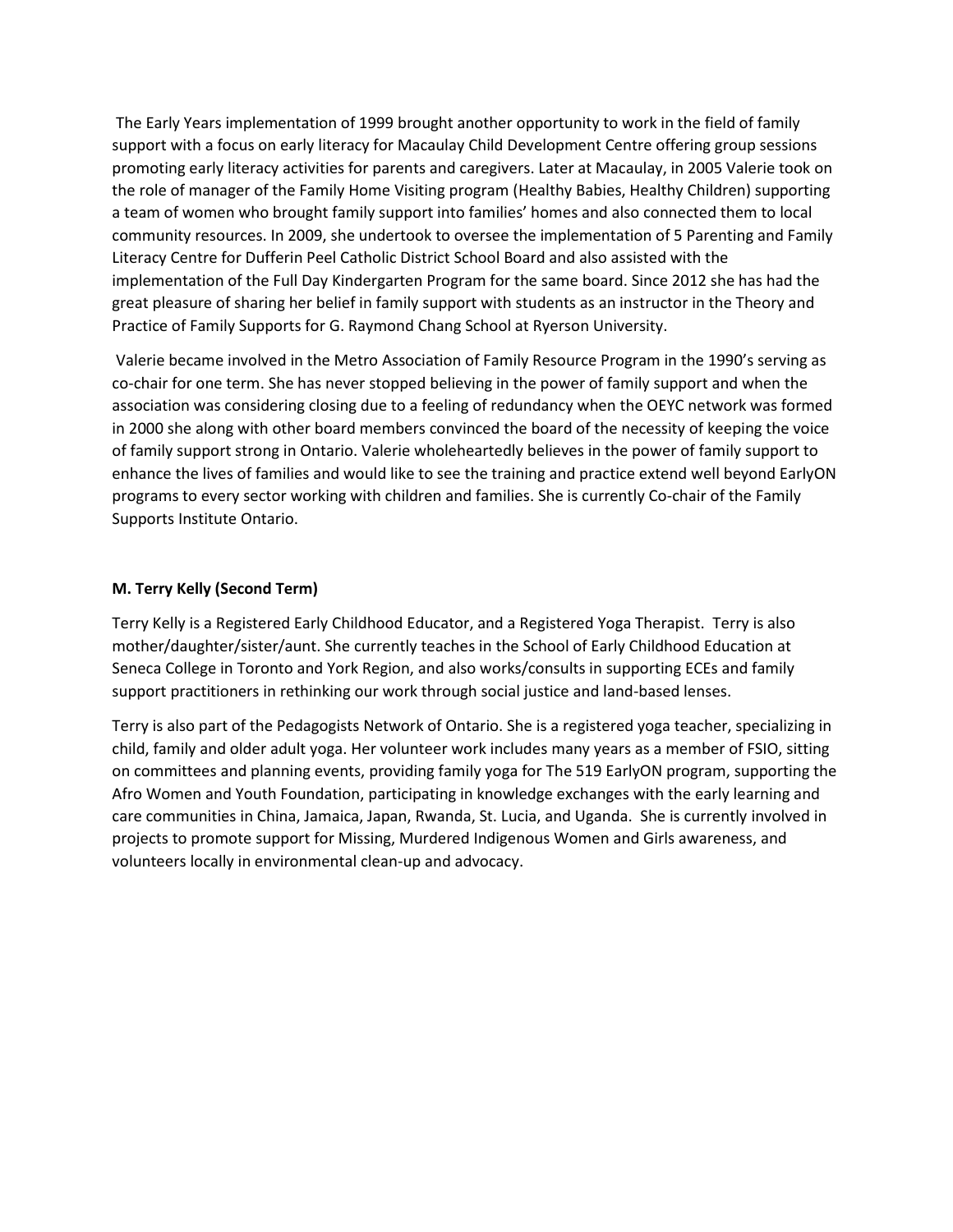The Early Years implementation of 1999 brought another opportunity to work in the field of family support with a focus on early literacy for Macaulay Child Development Centre offering group sessions promoting early literacy activities for parents and caregivers. Later at Macaulay, in 2005 Valerie took on the role of manager of the Family Home Visiting program (Healthy Babies, Healthy Children) supporting a team of women who brought family support into families' homes and also connected them to local community resources. In 2009, she undertook to oversee the implementation of 5 Parenting and Family Literacy Centre for Dufferin Peel Catholic District School Board and also assisted with the implementation of the Full Day Kindergarten Program for the same board. Since 2012 she has had the great pleasure of sharing her belief in family support with students as an instructor in the Theory and Practice of Family Supports for G. Raymond Chang School at Ryerson University.

Valerie became involved in the Metro Association of Family Resource Program in the 1990's serving as co-chair for one term. She has never stopped believing in the power of family support and when the association was considering closing due to a feeling of redundancy when the OEYC network was formed in 2000 she along with other board members convinced the board of the necessity of keeping the voice of family support strong in Ontario. Valerie wholeheartedly believes in the power of family support to enhance the lives of families and would like to see the training and practice extend well beyond EarlyON programs to every sector working with children and families. She is currently Co-chair of the Family Supports Institute Ontario.

### **M. Terry Kelly (Second Term)**

Terry Kelly is a Registered Early Childhood Educator, and a Registered Yoga Therapist. Terry is also mother/daughter/sister/aunt. She currently teaches in the School of Early Childhood Education at Seneca College in Toronto and York Region, and also works/consults in supporting ECEs and family support practitioners in rethinking our work through social justice and land-based lenses.

Terry is also part of the Pedagogists Network of Ontario. She is a registered yoga teacher, specializing in child, family and older adult yoga. Her volunteer work includes many years as a member of FSIO, sitting on committees and planning events, providing family yoga for The 519 EarlyON program, supporting the Afro Women and Youth Foundation, participating in knowledge exchanges with the early learning and care communities in China, Jamaica, Japan, Rwanda, St. Lucia, and Uganda. She is currently involved in projects to promote support for Missing, Murdered Indigenous Women and Girls awareness, and volunteers locally in environmental clean-up and advocacy.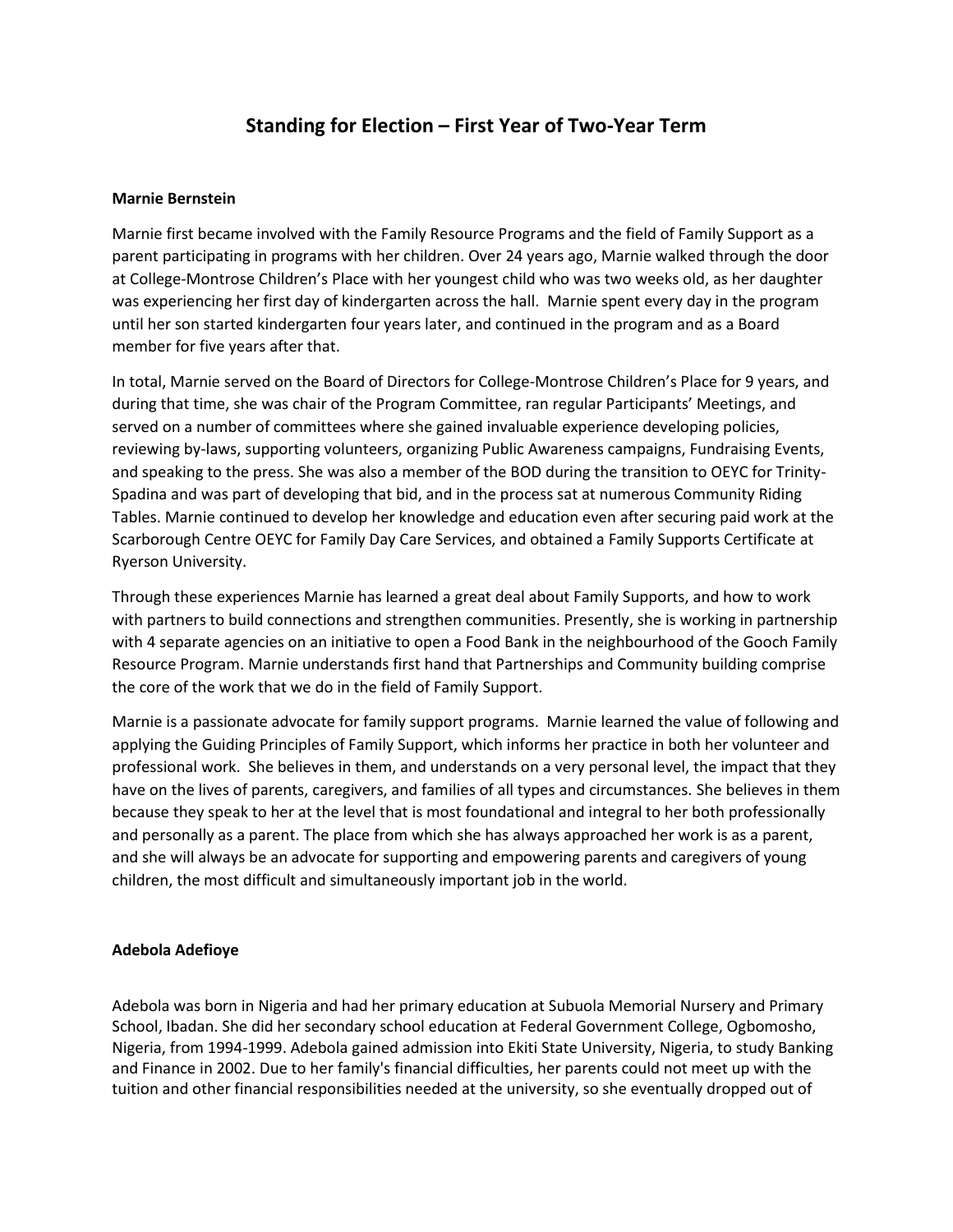# **Standing for Election – First Year of Two-Year Term**

#### **Marnie Bernstein**

Marnie first became involved with the Family Resource Programs and the field of Family Support as a parent participating in programs with her children. Over 24 years ago, Marnie walked through the door at College-Montrose Children's Place with her youngest child who was two weeks old, as her daughter was experiencing her first day of kindergarten across the hall. Marnie spent every day in the program until her son started kindergarten four years later, and continued in the program and as a Board member for five years after that.

In total, Marnie served on the Board of Directors for College-Montrose Children's Place for 9 years, and during that time, she was chair of the Program Committee, ran regular Participants' Meetings, and served on a number of committees where she gained invaluable experience developing policies, reviewing by-laws, supporting volunteers, organizing Public Awareness campaigns, Fundraising Events, and speaking to the press. She was also a member of the BOD during the transition to OEYC for Trinity-Spadina and was part of developing that bid, and in the process sat at numerous Community Riding Tables. Marnie continued to develop her knowledge and education even after securing paid work at the Scarborough Centre OEYC for Family Day Care Services, and obtained a Family Supports Certificate at Ryerson University.

Through these experiences Marnie has learned a great deal about Family Supports, and how to work with partners to build connections and strengthen communities. Presently, she is working in partnership with 4 separate agencies on an initiative to open a Food Bank in the neighbourhood of the Gooch Family Resource Program. Marnie understands first hand that Partnerships and Community building comprise the core of the work that we do in the field of Family Support.

Marnie is a passionate advocate for family support programs. Marnie learned the value of following and applying the Guiding Principles of Family Support, which informs her practice in both her volunteer and professional work. She believes in them, and understands on a very personal level, the impact that they have on the lives of parents, caregivers, and families of all types and circumstances. She believes in them because they speak to her at the level that is most foundational and integral to her both professionally and personally as a parent. The place from which she has always approached her work is as a parent, and she will always be an advocate for supporting and empowering parents and caregivers of young children, the most difficult and simultaneously important job in the world.

### **Adebola Adefioye**

Adebola was born in Nigeria and had her primary education at Subuola Memorial Nursery and Primary School, Ibadan. She did her secondary school education at Federal Government College, Ogbomosho, Nigeria, from 1994-1999. Adebola gained admission into Ekiti State University, Nigeria, to study Banking and Finance in 2002. Due to her family's financial difficulties, her parents could not meet up with the tuition and other financial responsibilities needed at the university, so she eventually dropped out of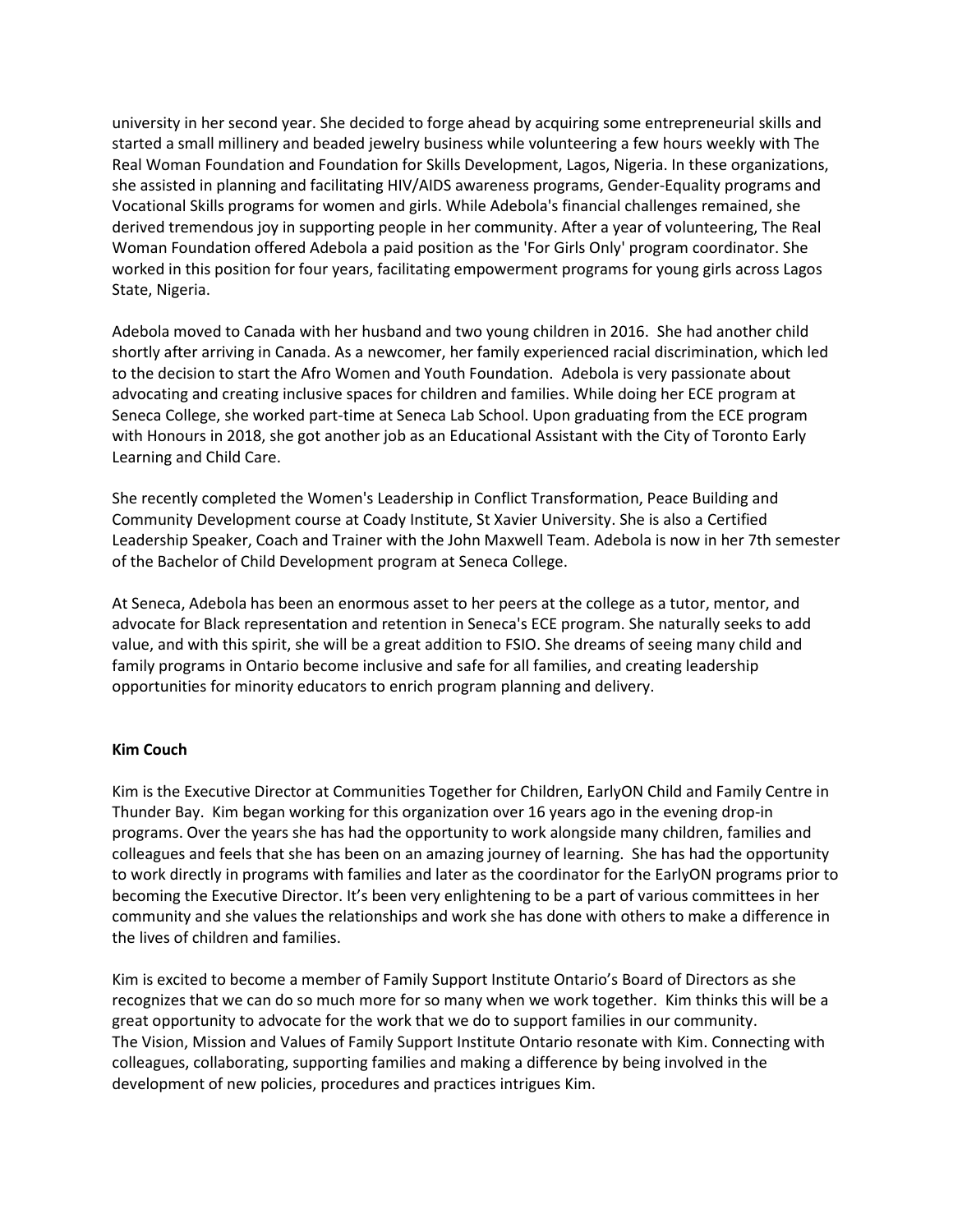university in her second year. She decided to forge ahead by acquiring some entrepreneurial skills and started a small millinery and beaded jewelry business while volunteering a few hours weekly with The Real Woman Foundation and Foundation for Skills Development, Lagos, Nigeria. In these organizations, she assisted in planning and facilitating HIV/AIDS awareness programs, Gender-Equality programs and Vocational Skills programs for women and girls. While Adebola's financial challenges remained, she derived tremendous joy in supporting people in her community. After a year of volunteering, The Real Woman Foundation offered Adebola a paid position as the 'For Girls Only' program coordinator. She worked in this position for four years, facilitating empowerment programs for young girls across Lagos State, Nigeria.

Adebola moved to Canada with her husband and two young children in 2016. She had another child shortly after arriving in Canada. As a newcomer, her family experienced racial discrimination, which led to the decision to start the Afro Women and Youth Foundation. Adebola is very passionate about advocating and creating inclusive spaces for children and families. While doing her ECE program at Seneca College, she worked part-time at Seneca Lab School. Upon graduating from the ECE program with Honours in 2018, she got another job as an Educational Assistant with the City of Toronto Early Learning and Child Care.

She recently completed the Women's Leadership in Conflict Transformation, Peace Building and Community Development course at Coady Institute, St Xavier University. She is also a Certified Leadership Speaker, Coach and Trainer with the John Maxwell Team. Adebola is now in her 7th semester of the Bachelor of Child Development program at Seneca College.

At Seneca, Adebola has been an enormous asset to her peers at the college as a tutor, mentor, and advocate for Black representation and retention in Seneca's ECE program. She naturally seeks to add value, and with this spirit, she will be a great addition to FSIO. She dreams of seeing many child and family programs in Ontario become inclusive and safe for all families, and creating leadership opportunities for minority educators to enrich program planning and delivery.

### **Kim Couch**

Kim is the Executive Director at Communities Together for Children, EarlyON Child and Family Centre in Thunder Bay. Kim began working for this organization over 16 years ago in the evening drop-in programs. Over the years she has had the opportunity to work alongside many children, families and colleagues and feels that she has been on an amazing journey of learning. She has had the opportunity to work directly in programs with families and later as the coordinator for the EarlyON programs prior to becoming the Executive Director. It's been very enlightening to be a part of various committees in her community and she values the relationships and work she has done with others to make a difference in the lives of children and families.

Kim is excited to become a member of Family Support Institute Ontario's Board of Directors as she recognizes that we can do so much more for so many when we work together. Kim thinks this will be a great opportunity to advocate for the work that we do to support families in our community. The Vision, Mission and Values of Family Support Institute Ontario resonate with Kim. Connecting with colleagues, collaborating, supporting families and making a difference by being involved in the development of new policies, procedures and practices intrigues Kim.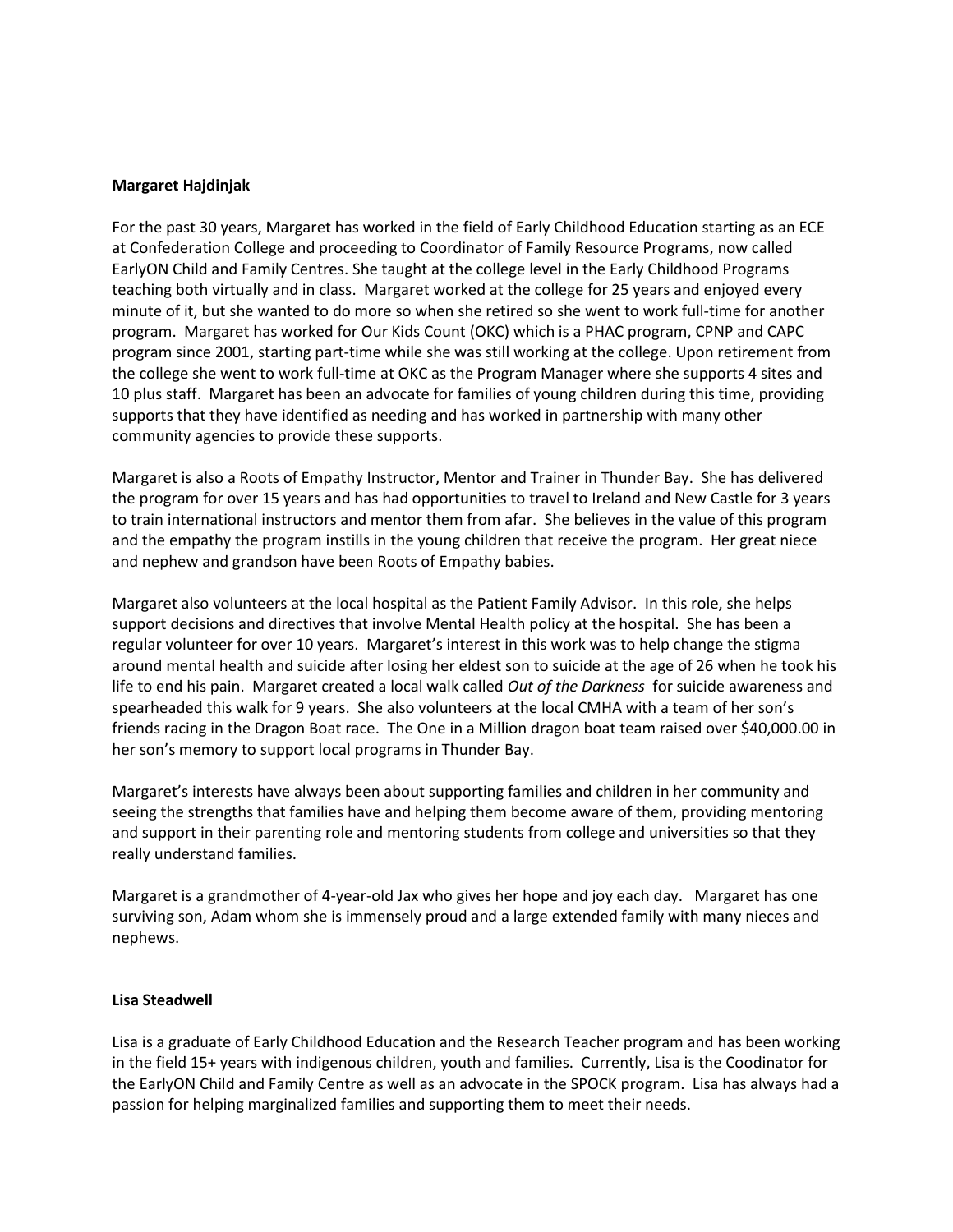#### **Margaret Hajdinjak**

For the past 30 years, Margaret has worked in the field of Early Childhood Education starting as an ECE at Confederation College and proceeding to Coordinator of Family Resource Programs, now called EarlyON Child and Family Centres. She taught at the college level in the Early Childhood Programs teaching both virtually and in class. Margaret worked at the college for 25 years and enjoyed every minute of it, but she wanted to do more so when she retired so she went to work full-time for another program. Margaret has worked for Our Kids Count (OKC) which is a PHAC program, CPNP and CAPC program since 2001, starting part-time while she was still working at the college. Upon retirement from the college she went to work full-time at OKC as the Program Manager where she supports 4 sites and 10 plus staff. Margaret has been an advocate for families of young children during this time, providing supports that they have identified as needing and has worked in partnership with many other community agencies to provide these supports.

Margaret is also a Roots of Empathy Instructor, Mentor and Trainer in Thunder Bay. She has delivered the program for over 15 years and has had opportunities to travel to Ireland and New Castle for 3 years to train international instructors and mentor them from afar. She believes in the value of this program and the empathy the program instills in the young children that receive the program. Her great niece and nephew and grandson have been Roots of Empathy babies.

Margaret also volunteers at the local hospital as the Patient Family Advisor. In this role, she helps support decisions and directives that involve Mental Health policy at the hospital. She has been a regular volunteer for over 10 years. Margaret's interest in this work was to help change the stigma around mental health and suicide after losing her eldest son to suicide at the age of 26 when he took his life to end his pain. Margaret created a local walk called *Out of the Darkness* for suicide awareness and spearheaded this walk for 9 years. She also volunteers at the local CMHA with a team of her son's friends racing in the Dragon Boat race. The One in a Million dragon boat team raised over \$40,000.00 in her son's memory to support local programs in Thunder Bay.

Margaret's interests have always been about supporting families and children in her community and seeing the strengths that families have and helping them become aware of them, providing mentoring and support in their parenting role and mentoring students from college and universities so that they really understand families.

Margaret is a grandmother of 4-year-old Jax who gives her hope and joy each day. Margaret has one surviving son, Adam whom she is immensely proud and a large extended family with many nieces and nephews.

#### **Lisa Steadwell**

Lisa is a graduate of Early Childhood Education and the Research Teacher program and has been working in the field 15+ years with indigenous children, youth and families. Currently, Lisa is the Coodinator for the EarlyON Child and Family Centre as well as an advocate in the SPOCK program. Lisa has always had a passion for helping marginalized families and supporting them to meet their needs.